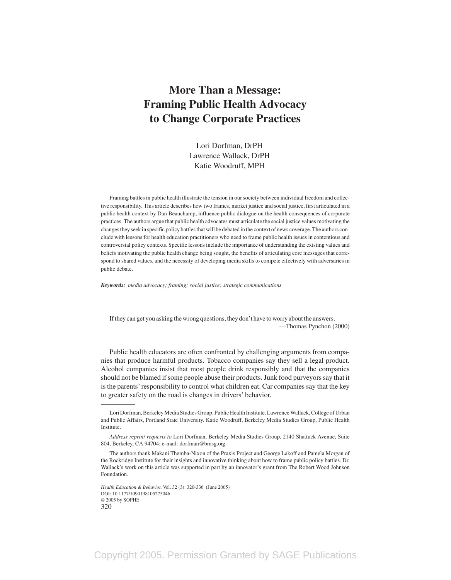# **More Than a Message: Framing Public Health Advocacy to Change Corporate Practices**

Lori Dorfman, DrPH Lawrence Wallack, DrPH Katie Woodruff, MPH

Framing battles in public health illustrate the tension in our society between individual freedom and collective responsibility. This article describes how two frames, market justice and social justice, first articulated in a public health context by Dan Beauchamp, influence public dialogue on the health consequences of corporate practices. The authors argue that public health advocates must articulate the social justice values motivating the changes they seek in specific policy battles that will be debated in the context of news coverage. The authors conclude with lessons for health education practitioners who need to frame public health issues in contentious and controversial policy contexts. Specific lessons include the importance of understanding the existing values and beliefs motivating the public health change being sought, the benefits of articulating core messages that correspond to shared values, and the necessity of developing media skills to compete effectively with adversaries in public debate.

*Keywords: media advocacy; framing; social justice; strategic communications*

If they can get you asking the wrong questions, they don't have to worry about the answers. —Thomas Pynchon (2000)

Public health educators are often confronted by challenging arguments from companies that produce harmful products. Tobacco companies say they sell a legal product. Alcohol companies insist that most people drink responsibly and that the companies should not be blamed if some people abuse their products. Junk food purveyors say that it is the parents' responsibility to control what children eat. Car companies say that the key to greater safety on the road is changes in drivers' behavior.

Lori Dorfman, Berkeley Media Studies Group, Public Health Institute. Lawrence Wallack, College of Urban and Public Affairs, Portland State University. Katie Woodruff, Berkeley Media Studies Group, Public Health Institute.

*Address reprint requests to* Lori Dorfman, Berkeley Media Studies Group, 2140 Shattuck Avenue, Suite 804, Berkeley, CA 94704; e-mail: dorfman@bmsg.org.

The authors thank Makani Themba-Nixon of the Praxis Project and George Lakoff and Pamela Morgan of the Rockridge Institute for their insights and innovative thinking about how to frame public policy battles. Dr. Wallack's work on this article was supported in part by an innovator's grant from The Robert Wood Johnson Foundation.

<sup>320</sup> *Health Education & Behavior*, Vol. 32 (3): 320-336 (June 2005) DOI: 10.1177/1090198105275046 © 2005 by SOPHE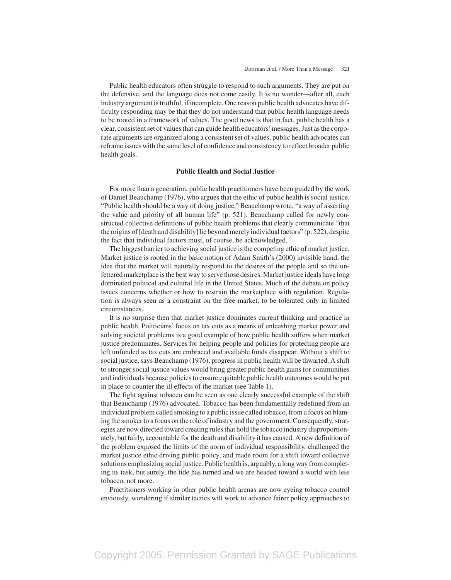Public health educators often struggle to respond to such arguments. They are put on the defensive, and the language does not come easily. It is no wonder—after all, each industry argument is truthful, if incomplete. One reason public health advocates have difficulty responding may be that they do not understand that public health language needs to be rooted in a framework of values. The good news is that in fact, public health has a clear, consistent set of values that can guide health educators'messages. Just as the corporate arguments are organized along a consistent set of values, public health advocates can reframe issues with the same level of confidence and consistency to reflect broader public health goals.

### **Public Health and Social Justice**

For more than a generation, public health practitioners have been guided by the work of Daniel Beauchamp (1976), who argues that the ethic of public health is social justice. "Public health should be a way of doing justice," Beauchamp wrote, "a way of asserting the value and priority of all human life" (p. 521). Beauchamp called for newly constructed collective definitions of public health problems that clearly communicate "that the origins of [death and disability] lie beyond merely individual factors" (p. 522), despite the fact that individual factors must, of course, be acknowledged.

The biggest barrier to achieving social justice is the competing ethic of market justice. Market justice is rooted in the basic notion of Adam Smith's (2000) invisible hand, the idea that the market will naturally respond to the desires of the people and so the unfettered marketplace is the best way to serve those desires. Market justice ideals have long dominated political and cultural life in the United States. Much of the debate on policy issues concerns whether or how to restrain the marketplace with regulation. Regulation is always seen as a constraint on the free market, to be tolerated only in limited circumstances.

It is no surprise then that market justice dominates current thinking and practice in public health. Politicians' focus on tax cuts as a means of unleashing market power and solving societal problems is a good example of how public health suffers when market justice predominates. Services for helping people and policies for protecting people are left unfunded as tax cuts are embraced and available funds disappear. Without a shift to social justice, says Beauchamp (1976), progress in public health will be thwarted. A shift to stronger social justice values would bring greater public health gains for communities and individuals because policies to ensure equitable public health outcomes would be put in place to counter the ill effects of the market (see Table 1).

The fight against tobacco can be seen as one clearly successful example of the shift that Beauchamp (1976) advocated. Tobacco has been fundamentally redefined from an individual problem called smoking to a public issue called tobacco, from a focus on blaming the smoker to a focus on the role of industry and the government. Consequently, strategies are now directed toward creating rules that hold the tobacco industry disproportionately, but fairly, accountable for the death and disability it has caused. A new definition of the problem exposed the limits of the norm of individual responsibility, challenged the market justice ethic driving public policy, and made room for a shift toward collective solutions emphasizing social justice. Public health is, arguably, a long way from completing its task, but surely, the tide has turned and we are headed toward a world with less tobacco, not more.

Practitioners working in other public health arenas are now eyeing tobacco control enviously, wondering if similar tactics will work to advance fairer policy approaches to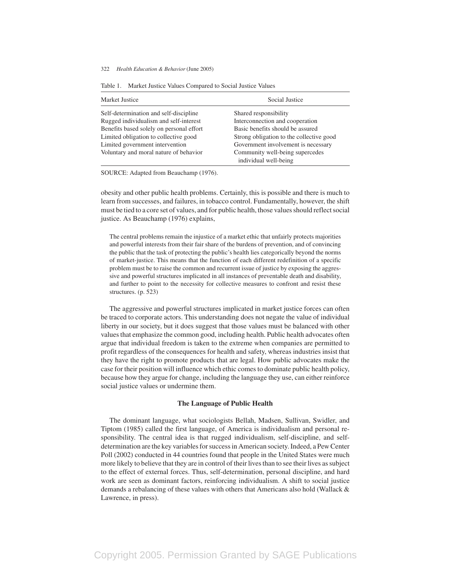| Market Justice                           | Social Justice                                           |
|------------------------------------------|----------------------------------------------------------|
| Self-determination and self-discipline   | Shared responsibility                                    |
| Rugged individualism and self-interest   | Interconnection and cooperation                          |
| Benefits based solely on personal effort | Basic benefits should be assured                         |
| Limited obligation to collective good    | Strong obligation to the collective good                 |
| Limited government intervention          | Government involvement is necessary                      |
| Voluntary and moral nature of behavior   | Community well-being supercedes<br>individual well-being |

Table 1. Market Justice Values Compared to Social Justice Values

SOURCE: Adapted from Beauchamp (1976).

obesity and other public health problems. Certainly, this is possible and there is much to learn from successes, and failures, in tobacco control. Fundamentally, however, the shift must be tied to a core set of values, and for public health, those values should reflect social justice. As Beauchamp (1976) explains,

The central problems remain the injustice of a market ethic that unfairly protects majorities and powerful interests from their fair share of the burdens of prevention, and of convincing the public that the task of protecting the public's health lies categorically beyond the norms of market-justice. This means that the function of each different redefinition of a specific problem must be to raise the common and recurrent issue of justice by exposing the aggressive and powerful structures implicated in all instances of preventable death and disability, and further to point to the necessity for collective measures to confront and resist these structures. (p. 523)

The aggressive and powerful structures implicated in market justice forces can often be traced to corporate actors. This understanding does not negate the value of individual liberty in our society, but it does suggest that those values must be balanced with other values that emphasize the common good, including health. Public health advocates often argue that individual freedom is taken to the extreme when companies are permitted to profit regardless of the consequences for health and safety, whereas industries insist that they have the right to promote products that are legal. How public advocates make the case for their position will influence which ethic comes to dominate public health policy, because how they argue for change, including the language they use, can either reinforce social justice values or undermine them.

# **The Language of Public Health**

The dominant language, what sociologists Bellah, Madsen, Sullivan, Swidler, and Tiptom (1985) called the first language, of America is individualism and personal responsibility. The central idea is that rugged individualism, self-discipline, and selfdetermination are the key variables for success in American society. Indeed, a Pew Center Poll (2002) conducted in 44 countries found that people in the United States were much more likely to believe that they are in control of their lives than to see their lives as subject to the effect of external forces. Thus, self-determination, personal discipline, and hard work are seen as dominant factors, reinforcing individualism. A shift to social justice demands a rebalancing of these values with others that Americans also hold (Wallack & Lawrence, in press).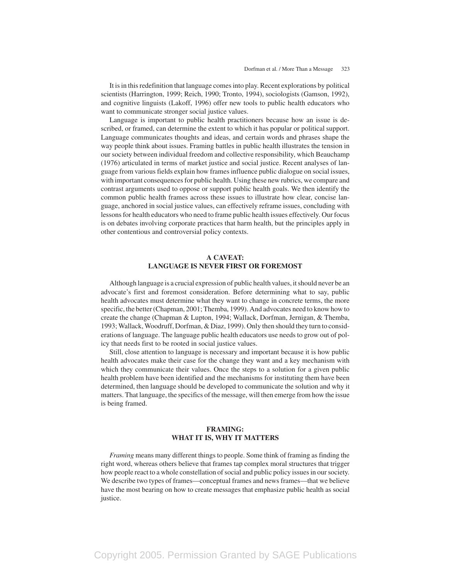It is in this redefinition that language comes into play. Recent explorations by political scientists (Harrington, 1999; Reich, 1990; Tronto, 1994), sociologists (Gamson, 1992), and cognitive linguists (Lakoff, 1996) offer new tools to public health educators who want to communicate stronger social justice values.

Language is important to public health practitioners because how an issue is described, or framed, can determine the extent to which it has popular or political support. Language communicates thoughts and ideas, and certain words and phrases shape the way people think about issues. Framing battles in public health illustrates the tension in our society between individual freedom and collective responsibility, which Beauchamp (1976) articulated in terms of market justice and social justice. Recent analyses of language from various fields explain how frames influence public dialogue on social issues, with important consequences for public health. Using these new rubrics, we compare and contrast arguments used to oppose or support public health goals. We then identify the common public health frames across these issues to illustrate how clear, concise language, anchored in social justice values, can effectively reframe issues, concluding with lessons for health educators who need to frame public health issues effectively. Our focus is on debates involving corporate practices that harm health, but the principles apply in other contentious and controversial policy contexts.

# **A CAVEAT: LANGUAGE IS NEVER FIRST OR FOREMOST**

Although language is a crucial expression of public health values, it should never be an advocate's first and foremost consideration. Before determining what to say, public health advocates must determine what they want to change in concrete terms, the more specific, the better (Chapman, 2001; Themba, 1999). And advocates need to know how to create the change (Chapman & Lupton, 1994; Wallack, Dorfman, Jernigan, & Themba, 1993; Wallack, Woodruff, Dorfman, & Diaz, 1999). Only then should they turn to considerations of language. The language public health educators use needs to grow out of policy that needs first to be rooted in social justice values.

Still, close attention to language is necessary and important because it is how public health advocates make their case for the change they want and a key mechanism with which they communicate their values. Once the steps to a solution for a given public health problem have been identified and the mechanisms for instituting them have been determined, then language should be developed to communicate the solution and why it matters. That language, the specifics of the message, will then emerge from how the issue is being framed.

# **FRAMING: WHAT IT IS, WHY IT MATTERS**

*Framing* means many different things to people. Some think of framing as finding the right word, whereas others believe that frames tap complex moral structures that trigger how people react to a whole constellation of social and public policy issues in our society. We describe two types of frames—conceptual frames and news frames—that we believe have the most bearing on how to create messages that emphasize public health as social justice.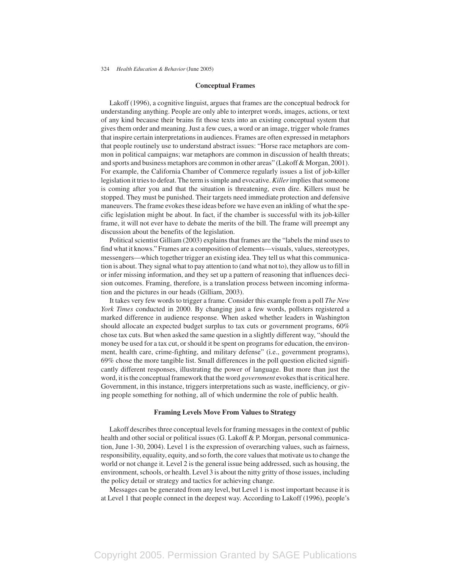# **Conceptual Frames**

Lakoff (1996), a cognitive linguist, argues that frames are the conceptual bedrock for understanding anything. People are only able to interpret words, images, actions, or text of any kind because their brains fit those texts into an existing conceptual system that gives them order and meaning. Just a few cues, a word or an image, trigger whole frames that inspire certain interpretations in audiences. Frames are often expressed in metaphors that people routinely use to understand abstract issues: "Horse race metaphors are common in political campaigns; war metaphors are common in discussion of health threats; and sports and business metaphors are common in other areas" (Lakoff & Morgan, 2001). For example, the California Chamber of Commerce regularly issues a list of job-killer legislation it tries to defeat. The term is simple and evocative. *Killer*implies that someone is coming after you and that the situation is threatening, even dire. Killers must be stopped. They must be punished. Their targets need immediate protection and defensive maneuvers. The frame evokes these ideas before we have even an inkling of what the specific legislation might be about. In fact, if the chamber is successful with its job-killer frame, it will not ever have to debate the merits of the bill. The frame will preempt any discussion about the benefits of the legislation.

Political scientist Gilliam (2003) explains that frames are the "labels the mind uses to find what it knows." Frames are a composition of elements—visuals, values, stereotypes, messengers—which together trigger an existing idea. They tell us what this communication is about. They signal what to pay attention to (and what not to), they allow us to fill in or infer missing information, and they set up a pattern of reasoning that influences decision outcomes. Framing, therefore, is a translation process between incoming information and the pictures in our heads (Gilliam, 2003).

It takes very few words to trigger a frame. Consider this example from a poll *The New York Times* conducted in 2000. By changing just a few words, pollsters registered a marked difference in audience response. When asked whether leaders in Washington should allocate an expected budget surplus to tax cuts or government programs, 60% chose tax cuts. But when asked the same question in a slightly different way, "should the money be used for a tax cut, or should it be spent on programs for education, the environment, health care, crime-fighting, and military defense" (i.e., government programs), 69% chose the more tangible list. Small differences in the poll question elicited significantly different responses, illustrating the power of language. But more than just the word, it is the conceptual framework that the word *government* evokes that is critical here. Government, in this instance, triggers interpretations such as waste, inefficiency, or giving people something for nothing, all of which undermine the role of public health.

#### **Framing Levels Move From Values to Strategy**

Lakoff describes three conceptual levels for framing messages in the context of public health and other social or political issues (G. Lakoff & P. Morgan, personal communication, June 1-30, 2004). Level 1 is the expression of overarching values, such as fairness, responsibility, equality, equity, and so forth, the core values that motivate us to change the world or not change it. Level 2 is the general issue being addressed, such as housing, the environment, schools, or health. Level 3 is about the nitty gritty of those issues, including the policy detail or strategy and tactics for achieving change.

Messages can be generated from any level, but Level 1 is most important because it is at Level 1 that people connect in the deepest way. According to Lakoff (1996), people's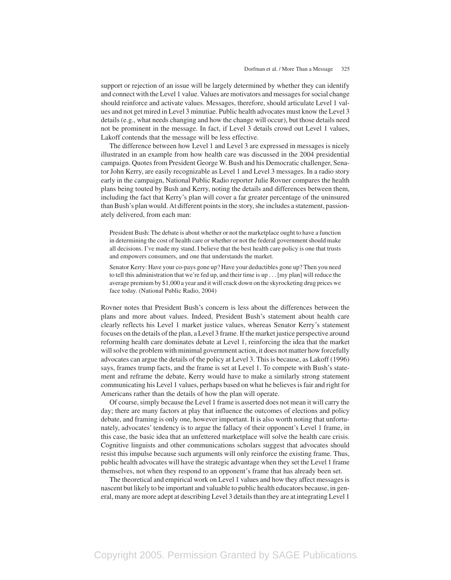support or rejection of an issue will be largely determined by whether they can identify and connect with the Level 1 value. Values are motivators and messages for social change should reinforce and activate values. Messages, therefore, should articulate Level 1 values and not get mired in Level 3 minutiae. Public health advocates must know the Level 3 details (e.g., what needs changing and how the change will occur), but those details need not be prominent in the message. In fact, if Level 3 details crowd out Level 1 values, Lakoff contends that the message will be less effective.

The difference between how Level 1 and Level 3 are expressed in messages is nicely illustrated in an example from how health care was discussed in the 2004 presidential campaign. Quotes from President George W. Bush and his Democratic challenger, Senator John Kerry, are easily recognizable as Level 1 and Level 3 messages. In a radio story early in the campaign, National Public Radio reporter Julie Rovner compares the health plans being touted by Bush and Kerry, noting the details and differences between them, including the fact that Kerry's plan will cover a far greater percentage of the uninsured than Bush's plan would. At different points in the story, she includes a statement, passionately delivered, from each man:

President Bush: The debate is about whether or not the marketplace ought to have a function in determining the cost of health care or whether or not the federal government should make all decisions. I've made my stand. I believe that the best health care policy is one that trusts and empowers consumers, and one that understands the market.

Senator Kerry: Have your co-pays gone up? Have your deductibles gone up? Then you need to tell this administration that we're fed up, and their time is up . . . [my plan] will reduce the average premium by \$1,000 a year and it will crack down on the skyrocketing drug prices we face today. (National Public Radio, 2004)

Rovner notes that President Bush's concern is less about the differences between the plans and more about values. Indeed, President Bush's statement about health care clearly reflects his Level 1 market justice values, whereas Senator Kerry's statement focuses on the details of the plan, a Level 3 frame. If the market justice perspective around reforming health care dominates debate at Level 1, reinforcing the idea that the market will solve the problem with minimal government action, it does not matter how forcefully advocates can argue the details of the policy at Level 3. This is because, as Lakoff (1996) says, frames trump facts, and the frame is set at Level 1. To compete with Bush's statement and reframe the debate, Kerry would have to make a similarly strong statement communicating his Level 1 values, perhaps based on what he believes is fair and right for Americans rather than the details of how the plan will operate.

Of course, simply because the Level 1 frame is asserted does not mean it will carry the day; there are many factors at play that influence the outcomes of elections and policy debate, and framing is only one, however important. It is also worth noting that unfortunately, advocates' tendency is to argue the fallacy of their opponent's Level 1 frame, in this case, the basic idea that an unfettered marketplace will solve the health care crisis. Cognitive linguists and other communications scholars suggest that advocates should resist this impulse because such arguments will only reinforce the existing frame. Thus, public health advocates will have the strategic advantage when they set the Level 1 frame themselves, not when they respond to an opponent's frame that has already been set.

The theoretical and empirical work on Level 1 values and how they affect messages is nascent but likely to be important and valuable to public health educators because, in general, many are more adept at describing Level 3 details than they are at integrating Level 1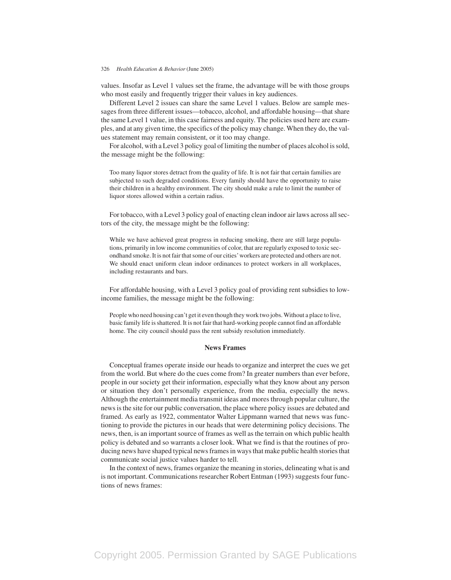values. Insofar as Level 1 values set the frame, the advantage will be with those groups who most easily and frequently trigger their values in key audiences.

Different Level 2 issues can share the same Level 1 values. Below are sample messages from three different issues—tobacco, alcohol, and affordable housing—that share the same Level 1 value, in this case fairness and equity. The policies used here are examples, and at any given time, the specifics of the policy may change. When they do, the values statement may remain consistent, or it too may change.

For alcohol, with a Level 3 policy goal of limiting the number of places alcohol is sold, the message might be the following:

Too many liquor stores detract from the quality of life. It is not fair that certain families are subjected to such degraded conditions. Every family should have the opportunity to raise their children in a healthy environment. The city should make a rule to limit the number of liquor stores allowed within a certain radius.

For tobacco, with a Level 3 policy goal of enacting clean indoor air laws across all sectors of the city, the message might be the following:

While we have achieved great progress in reducing smoking, there are still large populations, primarily in low income communities of color, that are regularly exposed to toxic secondhand smoke. It is not fair that some of our cities'workers are protected and others are not. We should enact uniform clean indoor ordinances to protect workers in all workplaces, including restaurants and bars.

For affordable housing, with a Level 3 policy goal of providing rent subsidies to lowincome families, the message might be the following:

People who need housing can't get it even though they work two jobs. Without a place to live, basic family life is shattered. It is not fair that hard-working people cannot find an affordable home. The city council should pass the rent subsidy resolution immediately.

#### **News Frames**

Conceptual frames operate inside our heads to organize and interpret the cues we get from the world. But where do the cues come from? In greater numbers than ever before, people in our society get their information, especially what they know about any person or situation they don't personally experience, from the media, especially the news. Although the entertainment media transmit ideas and mores through popular culture, the news is the site for our public conversation, the place where policy issues are debated and framed. As early as 1922, commentator Walter Lippmann warned that news was functioning to provide the pictures in our heads that were determining policy decisions. The news, then, is an important source of frames as well as the terrain on which public health policy is debated and so warrants a closer look. What we find is that the routines of producing news have shaped typical news frames in ways that make public health stories that communicate social justice values harder to tell.

In the context of news, frames organize the meaning in stories, delineating what is and is not important. Communications researcher Robert Entman (1993) suggests four functions of news frames: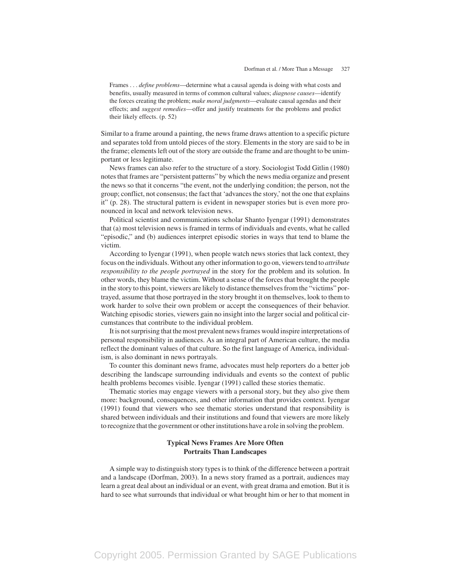Frames . . . *define problems*—determine what a causal agenda is doing with what costs and benefits, usually measured in terms of common cultural values; *diagnose causes*—identify the forces creating the problem; *make moral judgments*—evaluate causal agendas and their effects; and *suggest remedies*—offer and justify treatments for the problems and predict their likely effects. (p. 52)

Similar to a frame around a painting, the news frame draws attention to a specific picture and separates told from untold pieces of the story. Elements in the story are said to be in the frame; elements left out of the story are outside the frame and are thought to be unimportant or less legitimate.

News frames can also refer to the structure of a story. Sociologist Todd Gitlin (1980) notes that frames are "persistent patterns" by which the news media organize and present the news so that it concerns "the event, not the underlying condition; the person, not the group; conflict, not consensus; the fact that 'advances the story,'not the one that explains it" (p. 28). The structural pattern is evident in newspaper stories but is even more pronounced in local and network television news.

Political scientist and communications scholar Shanto Iyengar (1991) demonstrates that (a) most television news is framed in terms of individuals and events, what he called "episodic," and (b) audiences interpret episodic stories in ways that tend to blame the victim.

According to Iyengar (1991), when people watch news stories that lack context, they focus on the individuals. Without any other information to go on, viewers tend to *attribute responsibility to the people portrayed* in the story for the problem and its solution. In other words, they blame the victim. Without a sense of the forces that brought the people in the story to this point, viewers are likely to distance themselves from the "victims" portrayed, assume that those portrayed in the story brought it on themselves, look to them to work harder to solve their own problem or accept the consequences of their behavior. Watching episodic stories, viewers gain no insight into the larger social and political circumstances that contribute to the individual problem.

It is not surprising that the most prevalent news frames would inspire interpretations of personal responsibility in audiences. As an integral part of American culture, the media reflect the dominant values of that culture. So the first language of America, individualism, is also dominant in news portrayals.

To counter this dominant news frame, advocates must help reporters do a better job describing the landscape surrounding individuals and events so the context of public health problems becomes visible. Iyengar (1991) called these stories thematic.

Thematic stories may engage viewers with a personal story, but they also give them more: background, consequences, and other information that provides context. Iyengar (1991) found that viewers who see thematic stories understand that responsibility is shared between individuals and their institutions and found that viewers are more likely to recognize that the government or other institutions have a role in solving the problem.

# **Typical News Frames Are More Often Portraits Than Landscapes**

A simple way to distinguish story types is to think of the difference between a portrait and a landscape (Dorfman, 2003). In a news story framed as a portrait, audiences may learn a great deal about an individual or an event, with great drama and emotion. But it is hard to see what surrounds that individual or what brought him or her to that moment in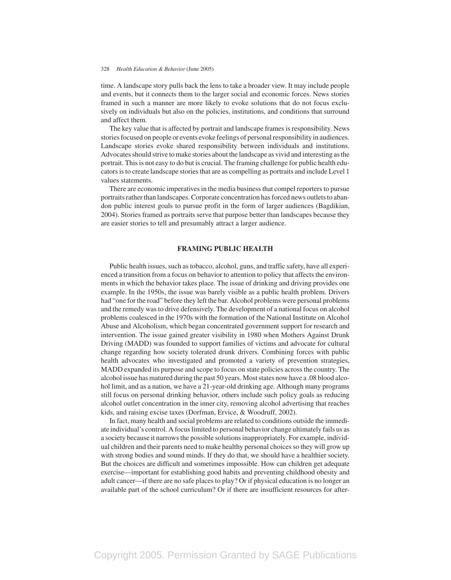time. A landscape story pulls back the lens to take a broader view. It may include people and events, but it connects them to the larger social and economic forces. News stories framed in such a manner are more likely to evoke solutions that do not focus exclusively on individuals but also on the policies, institutions, and conditions that surround and affect them.

The key value that is affected by portrait and landscape frames is responsibility. News stories focused on people or events evoke feelings of personal responsibility in audiences. Landscape stories evoke shared responsibility between individuals and institutions. Advocates should strive to make stories about the landscape as vivid and interesting as the portrait. This is not easy to do but is crucial. The framing challenge for public health educators is to create landscape stories that are as compelling as portraits and include Level 1 values statements.

There are economic imperatives in the media business that compel reporters to pursue portraits rather than landscapes. Corporate concentration has forced news outlets to abandon public interest goals to pursue profit in the form of larger audiences (Bagdikian, 2004). Stories framed as portraits serve that purpose better than landscapes because they are easier stories to tell and presumably attract a larger audience.

# **FRAMING PUBLIC HEALTH**

Public health issues, such as tobacco, alcohol, guns, and traffic safety, have all experienced a transition from a focus on behavior to attention to policy that affects the environments in which the behavior takes place. The issue of drinking and driving provides one example. In the 1950s, the issue was barely visible as a public health problem. Drivers had "one for the road" before they left the bar. Alcohol problems were personal problems and the remedy was to drive defensively. The development of a national focus on alcohol problems coalesced in the 1970s with the formation of the National Institute on Alcohol Abuse and Alcoholism, which began concentrated government support for research and intervention. The issue gained greater visibility in 1980 when Mothers Against Drunk Driving (MADD) was founded to support families of victims and advocate for cultural change regarding how society tolerated drunk drivers. Combining forces with public health advocates who investigated and promoted a variety of prevention strategies, MADD expanded its purpose and scope to focus on state policies across the country. The alcohol issue has matured during the past 50 years. Most states now have a .08 blood alcohol limit, and as a nation, we have a 21-year-old drinking age. Although many programs still focus on personal drinking behavior, others include such policy goals as reducing alcohol outlet concentration in the inner city, removing alcohol advertising that reaches kids, and raising excise taxes (Dorfman, Ervice, & Woodruff, 2002).

In fact, many health and social problems are related to conditions outside the immediate individual's control. A focus limited to personal behavior change ultimately fails us as a society because it narrows the possible solutions inappropriately. For example, individual children and their parents need to make healthy personal choices so they will grow up with strong bodies and sound minds. If they do that, we should have a healthier society. But the choices are difficult and sometimes impossible. How can children get adequate exercise—important for establishing good habits and preventing childhood obesity and adult cancer—if there are no safe places to play? Or if physical education is no longer an available part of the school curriculum? Or if there are insufficient resources for after-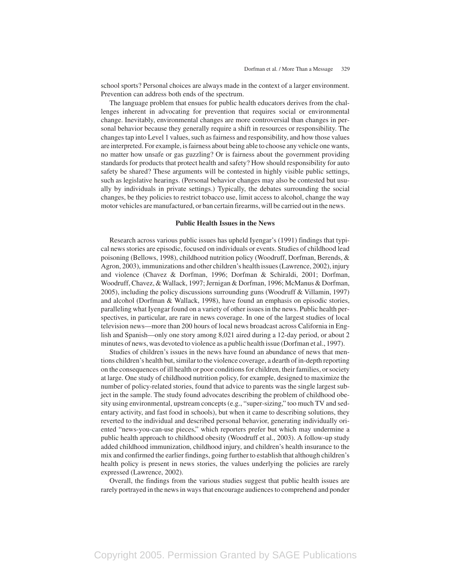school sports? Personal choices are always made in the context of a larger environment. Prevention can address both ends of the spectrum.

The language problem that ensues for public health educators derives from the challenges inherent in advocating for prevention that requires social or environmental change. Inevitably, environmental changes are more controversial than changes in personal behavior because they generally require a shift in resources or responsibility. The changes tap into Level 1 values, such as fairness and responsibility, and how those values are interpreted. For example, is fairness about being able to choose any vehicle one wants, no matter how unsafe or gas guzzling? Or is fairness about the government providing standards for products that protect health and safety? How should responsibility for auto safety be shared? These arguments will be contested in highly visible public settings, such as legislative hearings. (Personal behavior changes may also be contested but usually by individuals in private settings.) Typically, the debates surrounding the social changes, be they policies to restrict tobacco use, limit access to alcohol, change the way motor vehicles are manufactured, or ban certain firearms, will be carried out in the news.

## **Public Health Issues in the News**

Research across various public issues has upheld Iyengar's (1991) findings that typical news stories are episodic, focused on individuals or events. Studies of childhood lead poisoning (Bellows, 1998), childhood nutrition policy (Woodruff, Dorfman, Berends, & Agron, 2003), immunizations and other children's health issues (Lawrence, 2002), injury and violence (Chavez & Dorfman, 1996; Dorfman & Schiraldi, 2001; Dorfman, Woodruff, Chavez, & Wallack, 1997; Jernigan & Dorfman, 1996; McManus & Dorfman, 2005), including the policy discussions surrounding guns (Woodruff & Villamin, 1997) and alcohol (Dorfman & Wallack, 1998), have found an emphasis on episodic stories, paralleling what Iyengar found on a variety of other issues in the news. Public health perspectives, in particular, are rare in news coverage. In one of the largest studies of local television news—more than 200 hours of local news broadcast across California in English and Spanish—only one story among 8,021 aired during a 12-day period, or about 2 minutes of news, was devoted to violence as a public health issue (Dorfman et al., 1997).

Studies of children's issues in the news have found an abundance of news that mentions children's health but, similar to the violence coverage, a dearth of in-depth reporting on the consequences of ill health or poor conditions for children, their families, or society at large. One study of childhood nutrition policy, for example, designed to maximize the number of policy-related stories, found that advice to parents was the single largest subject in the sample. The study found advocates describing the problem of childhood obesity using environmental, upstream concepts (e.g., "super-sizing," too much TV and sedentary activity, and fast food in schools), but when it came to describing solutions, they reverted to the individual and described personal behavior, generating individually oriented "news-you-can-use pieces," which reporters prefer but which may undermine a public health approach to childhood obesity (Woodruff et al., 2003). A follow-up study added childhood immunization, childhood injury, and children's health insurance to the mix and confirmed the earlier findings, going further to establish that although children's health policy is present in news stories, the values underlying the policies are rarely expressed (Lawrence, 2002).

Overall, the findings from the various studies suggest that public health issues are rarely portrayed in the news in ways that encourage audiences to comprehend and ponder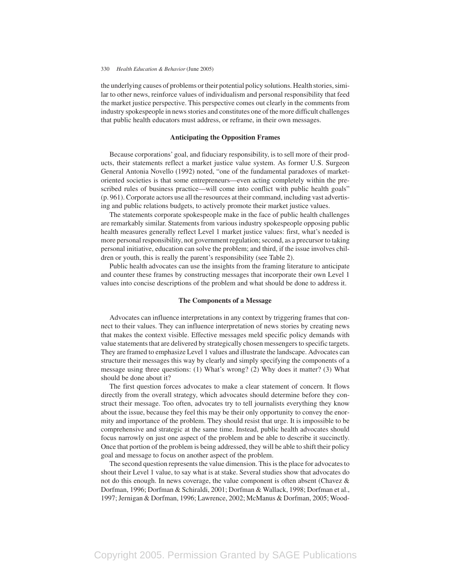the underlying causes of problems or their potential policy solutions. Health stories, similar to other news, reinforce values of individualism and personal responsibility that feed the market justice perspective. This perspective comes out clearly in the comments from industry spokespeople in news stories and constitutes one of the more difficult challenges that public health educators must address, or reframe, in their own messages.

# **Anticipating the Opposition Frames**

Because corporations' goal, and fiduciary responsibility, is to sell more of their products, their statements reflect a market justice value system. As former U.S. Surgeon General Antonia Novello (1992) noted, "one of the fundamental paradoxes of marketoriented societies is that some entrepreneurs—even acting completely within the prescribed rules of business practice—will come into conflict with public health goals" (p. 961). Corporate actors use all the resources at their command, including vast advertising and public relations budgets, to actively promote their market justice values.

The statements corporate spokespeople make in the face of public health challenges are remarkably similar. Statements from various industry spokespeople opposing public health measures generally reflect Level 1 market justice values: first, what's needed is more personal responsibility, not government regulation; second, as a precursor to taking personal initiative, education can solve the problem; and third, if the issue involves children or youth, this is really the parent's responsibility (see Table 2).

Public health advocates can use the insights from the framing literature to anticipate and counter these frames by constructing messages that incorporate their own Level 1 values into concise descriptions of the problem and what should be done to address it.

#### **The Components of a Message**

Advocates can influence interpretations in any context by triggering frames that connect to their values. They can influence interpretation of news stories by creating news that makes the context visible. Effective messages meld specific policy demands with value statements that are delivered by strategically chosen messengers to specific targets. They are framed to emphasize Level 1 values and illustrate the landscape. Advocates can structure their messages this way by clearly and simply specifying the components of a message using three questions: (1) What's wrong? (2) Why does it matter? (3) What should be done about it?

The first question forces advocates to make a clear statement of concern. It flows directly from the overall strategy, which advocates should determine before they construct their message. Too often, advocates try to tell journalists everything they know about the issue, because they feel this may be their only opportunity to convey the enormity and importance of the problem. They should resist that urge. It is impossible to be comprehensive and strategic at the same time. Instead, public health advocates should focus narrowly on just one aspect of the problem and be able to describe it succinctly. Once that portion of the problem is being addressed, they will be able to shift their policy goal and message to focus on another aspect of the problem.

The second question represents the value dimension. This is the place for advocates to shout their Level 1 value, to say what is at stake. Several studies show that advocates do not do this enough. In news coverage, the value component is often absent (Chavez & Dorfman, 1996; Dorfman & Schiraldi, 2001; Dorfman & Wallack, 1998; Dorfman et al., 1997; Jernigan & Dorfman, 1996; Lawrence, 2002; McManus & Dorfman, 2005; Wood-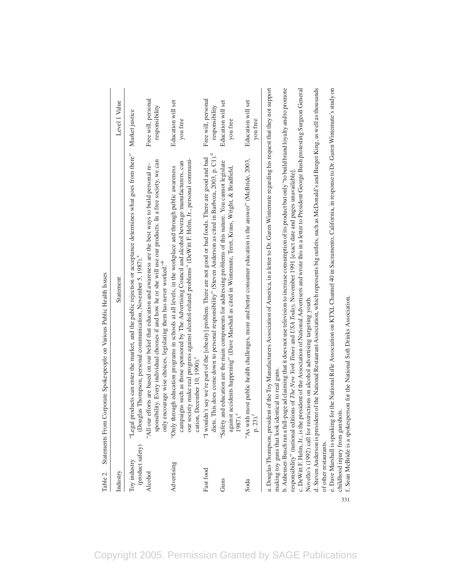| Table 2.                           | Statements From Corporate Spokespeople on Various Public Health Issues                                                                                                                                                                                                                                                                                                                                                                                                                                                                                                                                                                                                                                                                                                                                                                                                                                          |                                       |
|------------------------------------|-----------------------------------------------------------------------------------------------------------------------------------------------------------------------------------------------------------------------------------------------------------------------------------------------------------------------------------------------------------------------------------------------------------------------------------------------------------------------------------------------------------------------------------------------------------------------------------------------------------------------------------------------------------------------------------------------------------------------------------------------------------------------------------------------------------------------------------------------------------------------------------------------------------------|---------------------------------------|
| Industry                           | Statement                                                                                                                                                                                                                                                                                                                                                                                                                                                                                                                                                                                                                                                                                                                                                                                                                                                                                                       | Level 1 Value                         |
| (product safety)<br>Toy industry   | "Legal products can enter the market, and the public rejection or acceptance determines what goes from there"<br>(Douglas Thompson, personal communication, November 5, 1987). <sup>a</sup>                                                                                                                                                                                                                                                                                                                                                                                                                                                                                                                                                                                                                                                                                                                     | Market justice                        |
| <b>Alcohol</b>                     | sponsibility. Every individual chooses if and how he or she will use our products. In a free society, we can<br>"All our efforts are based on our belief that education and awareness are the best ways to build personal re-<br>only encourage wise choices, legislating them has never worked."                                                                                                                                                                                                                                                                                                                                                                                                                                                                                                                                                                                                               | Free will, personal<br>responsibility |
| Advertising                        | our society make real progress against alcohol-related problems" (DeWitt F. Helm, Jr., personal communi-<br>campaigns such as those sponsored by The Advertising Council and alcohol beverage manufacturers, can<br>"Only through education programs in schools at all levels, in the workplace and through public awareness<br>cation, December 10, 1990)."                                                                                                                                                                                                                                                                                                                                                                                                                                                                                                                                                    | Education will set<br>you free        |
| Fast food                          | ℸ<br>diets. This does come down to personal responsibility" (Steven Anderson as cited in Barboza, 2003, p. C1).<br>say we're part of the [obesity] problem. There are not good or bad foods. There are good and bad<br>$\lq$ mouldn't                                                                                                                                                                                                                                                                                                                                                                                                                                                                                                                                                                                                                                                                           | Free will, personal<br>responsibility |
| Guns                               | education are the main components for addressing problems of this nature. You cannot legislate<br>against accidents happening" (Dave Marshall as cited in Wintemute, Teret, Kraus, Wright, & Bradfield,<br>"Safety and<br>1987). <sup>e</sup>                                                                                                                                                                                                                                                                                                                                                                                                                                                                                                                                                                                                                                                                   | Education will set<br>you free        |
| Soda                               | ost public health challenges, more and better consumer education is the answer" (McBride, 2003,<br>As with mo<br>$p. 23).$ <sup>f</sup>                                                                                                                                                                                                                                                                                                                                                                                                                                                                                                                                                                                                                                                                                                                                                                         | Education will set<br>you free        |
| responsibility" (national editions | d. Steven Anderson is president of the National Restaurant Association, which represents big outlets, such as McDonald's and Burger King, as well as thousands<br>b. Anheuser-Busch ran a full-page ad claiming that it does not use television to increase consumption of its product but only "to build brand loyalty and to promote<br>a. Douglas Thompson, president of the Toy Manufacturers Association of America, in a letter to Dr. Garen Wintemute regarding his request that they not support<br>c. DeWitt F. Helm, Jr., is the president of the Association of National Advertisers and wrote this in a letter to President George Bush protesting Surgeon General<br>of The New York Times and USA Today, November 1991 [exact date and pages unavailable].<br>Novello's (1992) call for restrictions on alcohol advertising targeting youth.<br>making toy guns that look identical to real guns. |                                       |

of other restaurants.

of other restaurants.<br>e. Dave Marshall is speaking for the National Rifle Association on KTXL Channel 40 in Sacramento, California, in response to Dr. Garen Wintemute's study on<br>childhood injury from gunshots. e. Dave Marshall is speaking for the National Rifle Association on KTXL Channel 40 in Sacramento, California, in response to Dr. Garen Wintemute's study on childhood injury from gunshots.<br>f. Sean McBride is a spokesperson for the National Soft Drinks Association. childhood injury from gunshots.

331 f. Sean McBride is a spokesperson for the National Soft Drinks Association.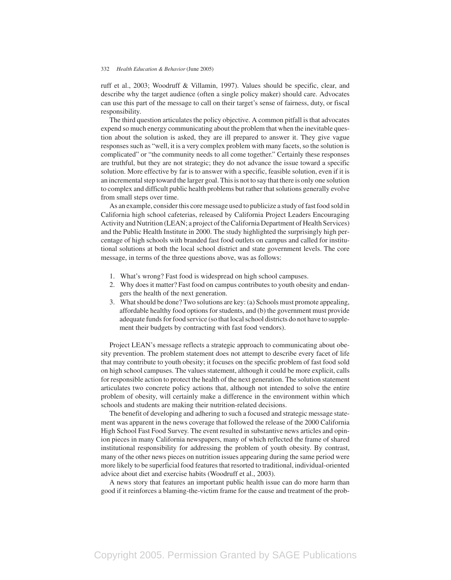ruff et al., 2003; Woodruff & Villamin, 1997). Values should be specific, clear, and describe why the target audience (often a single policy maker) should care. Advocates can use this part of the message to call on their target's sense of fairness, duty, or fiscal responsibility.

The third question articulates the policy objective. A common pitfall is that advocates expend so much energy communicating about the problem that when the inevitable question about the solution is asked, they are ill prepared to answer it. They give vague responses such as "well, it is a very complex problem with many facets, so the solution is complicated" or "the community needs to all come together." Certainly these responses are truthful, but they are not strategic; they do not advance the issue toward a specific solution. More effective by far is to answer with a specific, feasible solution, even if it is an incremental step toward the larger goal. This is not to say that there is only one solution to complex and difficult public health problems but rather that solutions generally evolve from small steps over time.

As an example, consider this core message used to publicize a study of fast food sold in California high school cafeterias, released by California Project Leaders Encouraging Activity and Nutrition (LEAN; a project of the California Department of Health Services) and the Public Health Institute in 2000. The study highlighted the surprisingly high percentage of high schools with branded fast food outlets on campus and called for institutional solutions at both the local school district and state government levels. The core message, in terms of the three questions above, was as follows:

- 1. What's wrong? Fast food is widespread on high school campuses.
- 2. Why does it matter? Fast food on campus contributes to youth obesity and endangers the health of the next generation.
- 3. What should be done? Two solutions are key: (a) Schools must promote appealing, affordable healthy food options for students, and (b) the government must provide adequate funds for food service (so that local school districts do not have to supplement their budgets by contracting with fast food vendors).

Project LEAN's message reflects a strategic approach to communicating about obesity prevention. The problem statement does not attempt to describe every facet of life that may contribute to youth obesity; it focuses on the specific problem of fast food sold on high school campuses. The values statement, although it could be more explicit, calls for responsible action to protect the health of the next generation. The solution statement articulates two concrete policy actions that, although not intended to solve the entire problem of obesity, will certainly make a difference in the environment within which schools and students are making their nutrition-related decisions.

The benefit of developing and adhering to such a focused and strategic message statement was apparent in the news coverage that followed the release of the 2000 California High School Fast Food Survey. The event resulted in substantive news articles and opinion pieces in many California newspapers, many of which reflected the frame of shared institutional responsibility for addressing the problem of youth obesity. By contrast, many of the other news pieces on nutrition issues appearing during the same period were more likely to be superficial food features that resorted to traditional, individual-oriented advice about diet and exercise habits (Woodruff et al., 2003).

A news story that features an important public health issue can do more harm than good if it reinforces a blaming-the-victim frame for the cause and treatment of the prob-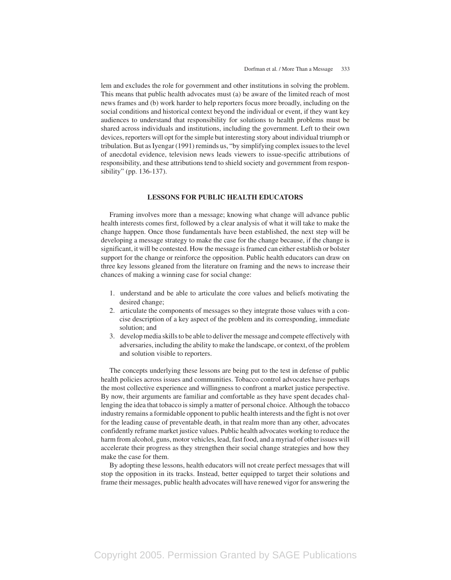lem and excludes the role for government and other institutions in solving the problem. This means that public health advocates must (a) be aware of the limited reach of most news frames and (b) work harder to help reporters focus more broadly, including on the social conditions and historical context beyond the individual or event, if they want key audiences to understand that responsibility for solutions to health problems must be shared across individuals and institutions, including the government. Left to their own devices, reporters will opt for the simple but interesting story about individual triumph or tribulation. But as Iyengar (1991) reminds us, "by simplifying complex issues to the level of anecdotal evidence, television news leads viewers to issue-specific attributions of responsibility, and these attributions tend to shield society and government from responsibility" (pp. 136-137).

## **LESSONS FOR PUBLIC HEALTH EDUCATORS**

Framing involves more than a message; knowing what change will advance public health interests comes first, followed by a clear analysis of what it will take to make the change happen. Once those fundamentals have been established, the next step will be developing a message strategy to make the case for the change because, if the change is significant, it will be contested. How the message is framed can either establish or bolster support for the change or reinforce the opposition. Public health educators can draw on three key lessons gleaned from the literature on framing and the news to increase their chances of making a winning case for social change:

- 1. understand and be able to articulate the core values and beliefs motivating the desired change;
- 2. articulate the components of messages so they integrate those values with a concise description of a key aspect of the problem and its corresponding, immediate solution; and
- 3. develop media skills to be able to deliver the message and compete effectively with adversaries, including the ability to make the landscape, or context, of the problem and solution visible to reporters.

The concepts underlying these lessons are being put to the test in defense of public health policies across issues and communities. Tobacco control advocates have perhaps the most collective experience and willingness to confront a market justice perspective. By now, their arguments are familiar and comfortable as they have spent decades challenging the idea that tobacco is simply a matter of personal choice. Although the tobacco industry remains a formidable opponent to public health interests and the fight is not over for the leading cause of preventable death, in that realm more than any other, advocates confidently reframe market justice values. Public health advocates working to reduce the harm from alcohol, guns, motor vehicles, lead, fast food, and a myriad of other issues will accelerate their progress as they strengthen their social change strategies and how they make the case for them.

By adopting these lessons, health educators will not create perfect messages that will stop the opposition in its tracks. Instead, better equipped to target their solutions and frame their messages, public health advocates will have renewed vigor for answering the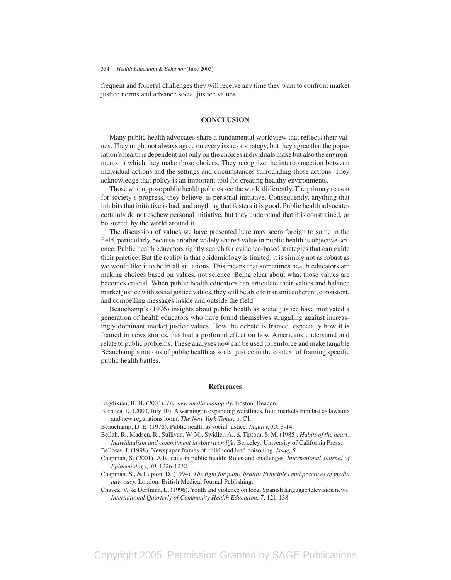frequent and forceful challenges they will receive any time they want to confront market justice norms and advance social justice values.

# **CONCLUSION**

Many public health advocates share a fundamental worldview that reflects their values. They might not always agree on every issue or strategy, but they agree that the population's health is dependent not only on the choices individuals make but also the environments in which they make those choices. They recognize the interconnection between individual actions and the settings and circumstances surrounding those actions. They acknowledge that policy is an important tool for creating healthy environments.

Those who oppose public health policies see the world differently. The primary reason for society's progress, they believe, is personal initiative. Consequently, anything that inhibits that initiative is bad, and anything that fosters it is good. Public health advocates certainly do not eschew personal initiative, but they understand that it is constrained, or bolstered, by the world around it.

The discussion of values we have presented here may seem foreign to some in the field, particularly because another widely shared value in public health is objective science. Public health educators rightly search for evidence-based strategies that can guide their practice. But the reality is that epidemiology is limited; it is simply not as robust as we would like it to be in all situations. This means that sometimes health educators are making choices based on values, not science. Being clear about what those values are becomes crucial. When public health educators can articulate their values and balance market justice with social justice values, they will be able to transmit coherent, consistent, and compelling messages inside and outside the field.

Beauchamp's (1976) insights about public health as social justice have motivated a generation of health educators who have found themselves struggling against increasingly dominant market justice values. How the debate is framed, especially how it is framed in news stories, has had a profound effect on how Americans understand and relate to public problems. These analyses now can be used to reinforce and make tangible Beauchamp's notions of public health as social justice in the context of framing specific public health battles.

#### **References**

Bagdikian, B. H. (2004). *The new media monopoly*. Boston: Beacon.

- Barboza, D. (2003, July 10). A warning in expanding waistlines, food markets trim fast as lawsuits and new regulations loom. *The New York Times*, p. C1.
- Beauchamp, D. E. (1976). Public health as social justice. *Inquiry*, *13*, 3-14.
- Bellah, R., Madsen, R., Sullivan, W. M., Swidler, A., & Tiptom, S. M. (1985). *Habits of the heart: Individualism and commitment in American life*. Berkeley: University of California Press.
- Bellows, J. (1998). Newspaper frames of childhood lead poisoning. *Issue, 5*.
- Chapman, S. (2001). Advocacy in public health: Roles and challenges. *International Journal of Epidemiology*, *30*, 1226-1232.
- Chapman, S., & Lupton, D. (1994). *The fight for pubic health: Principles and practices of media advocacy*. London: British Medical Journal Publishing.
- Chavez, V., & Dorfman, L. (1996). Youth and violence on local Spanish language television news. *International Quarterly of Community Health Education*, *7*, 121-138.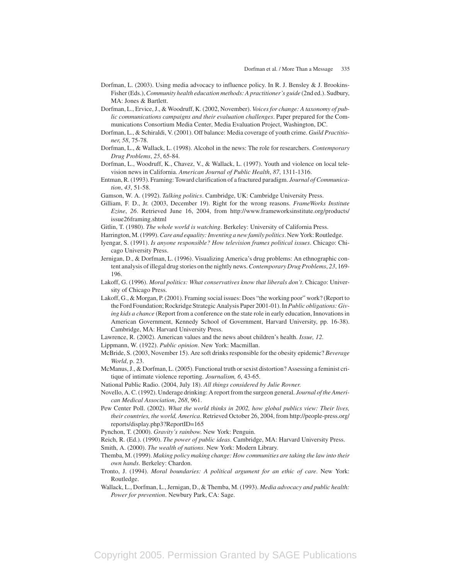- Dorfman, L. (2003). Using media advocacy to influence policy. In R. J. Bensley & J. Brookins-Fisher (Eds.),*Community health education methods: A practitioner's guide* (2nd ed.). Sudbury, MA: Jones & Bartlett.
- Dorfman, L., Ervice, J., & Woodruff, K. (2002, November). *Voices for change: A taxonomy of public communications campaigns and their evaluation challenges*. Paper prepared for the Communications Consortium Media Center, Media Evaluation Project, Washington, DC.
- Dorfman, L., & Schiraldi, V. (2001). Off balance: Media coverage of youth crime. *Guild Practitioner*, *58*, 75-78.
- Dorfman, L., & Wallack, L. (1998). Alcohol in the news: The role for researchers. *Contemporary Drug Problems*, *25*, 65-84.
- Dorfman, L., Woodruff, K., Chavez, V., & Wallack, L. (1997). Youth and violence on local television news in California. *American Journal of Public Health*, *87*, 1311-1316.
- Entman, R. (1993). Framing: Toward clarification of a fractured paradigm. *Journal of Communication*, *43*, 51-58.
- Gamson, W. A. (1992). *Talking politics*. Cambridge, UK: Cambridge University Press.
- Gilliam, F. D., Jr. (2003, December 19). Right for the wrong reasons. *FrameWorks Institute Ezine*, *26*. Retrieved June 16, 2004, from http://www.frameworksinstitute.org/products/ issue26framing.shtml
- Gitlin, T. (1980). *The whole world is watching*. Berkeley: University of California Press.
- Harrington, M. (1999).*Care and equality: Inventing a new family politics*. New York: Routledge.
- Iyengar, S. (1991). *Is anyone responsible? How television frames political issues*. Chicago: Chicago University Press.
- Jernigan, D., & Dorfman, L. (1996). Visualizing America's drug problems: An ethnographic content analysis of illegal drug stories on the nightly news.*Contemporary Drug Problems*, *23*, 169- 196.
- Lakoff, G. (1996). *Moral politics: What conservatives know that liberals don't*. Chicago: University of Chicago Press.
- Lakoff, G., & Morgan, P. (2001). Framing social issues: Does "the working poor" work? (Report to the Ford Foundation; Rockridge Strategic Analysis Paper 2001-01). In*Public obligations: Giving kids a chance* (Report from a conference on the state role in early education, Innovations in American Government, Kennedy School of Government, Harvard University, pp. 16-38). Cambridge, MA: Harvard University Press.
- Lawrence, R. (2002). American values and the news about children's health. *Issue, 12*.
- Lippmann, W. (1922). *Public opinion*. New York: Macmillan.
- McBride, S. (2003, November 15). Are soft drinks responsible for the obesity epidemic? *Beverage World*, p. 23.
- McManus, J., & Dorfman, L. (2005). Functional truth or sexist distortion? Assessing a feminist critique of intimate violence reporting. *Journalism, 6*, 43-65.
- National Public Radio. (2004, July 18). *All things considered by Julie Rovner*.
- Novello, A. C. (1992). Underage drinking: A report from the surgeon general. *Journal of the American Medical Association*, *268*, 961.
- Pew Center Poll. (2002). *What the world thinks in 2002, how global publics view: Their lives, their countries, the world, America*. Retrieved October 26, 2004, from http://people-press.org/ reports/display.php3?ReportID=165
- Pynchon, T. (2000). *Gravity's rainbow*. New York: Penguin.
- Reich, R. (Ed.). (1990). *The power of public ideas*. Cambridge, MA: Harvard University Press.
- Smith, A. (2000). *The wealth of nations*. New York: Modern Library.
- Themba, M. (1999). *Making policy making change: How communities are taking the law into their own hands*. Berkeley: Chardon.
- Tronto, J. (1994). *Moral boundaries: A political argument for an ethic of care*. New York: Routledge.
- Wallack, L., Dorfman, L., Jernigan, D., & Themba, M. (1993). *Media advocacy and public health: Power for prevention*. Newbury Park, CA: Sage.